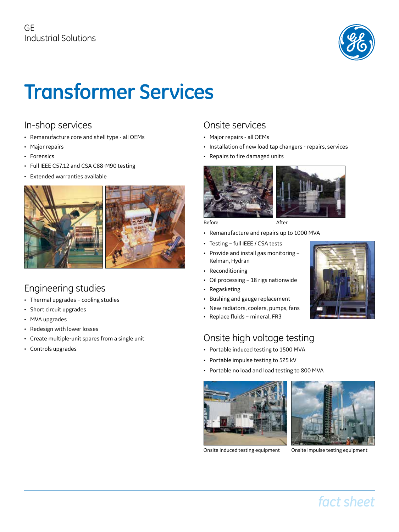

# **Transformer Services**

#### In-shop services

- Remanufacture core and shell type all OEMs
- Major repairs
- Forensics
- Full IEEE C57.12 and CSA C88-M90 testing
- Extended warranties available



#### Engineering studies

- Thermal upgrades cooling studies
- Short circuit upgrades
- MVA upgrades
- Redesign with lower losses
- Create multiple-unit spares from a single unit
- Controls upgrades

### Onsite services

- Major repairs all OEMs
- Installation of new load tap changers repairs, services
- Repairs to fire damaged units



Before **After** 

- Remanufacture and repairs up to 1000 MVA
- Testing full IEEE / CSA tests
- Provide and install gas monitoring Kelman, Hydran
- Reconditioning
- Oil processing 18 rigs nationwide
- Regasketing
- Bushing and gauge replacement
- New radiators, coolers, pumps, fans
- Replace fluids mineral, FR3

## Onsite high voltage testing

- Portable induced testing to 1500 MVA
- Portable impulse testing to 525 kV
- Portable no load and load testing to 800 MVA



Onsite induced testing equipment Onsite impulse testing equipment